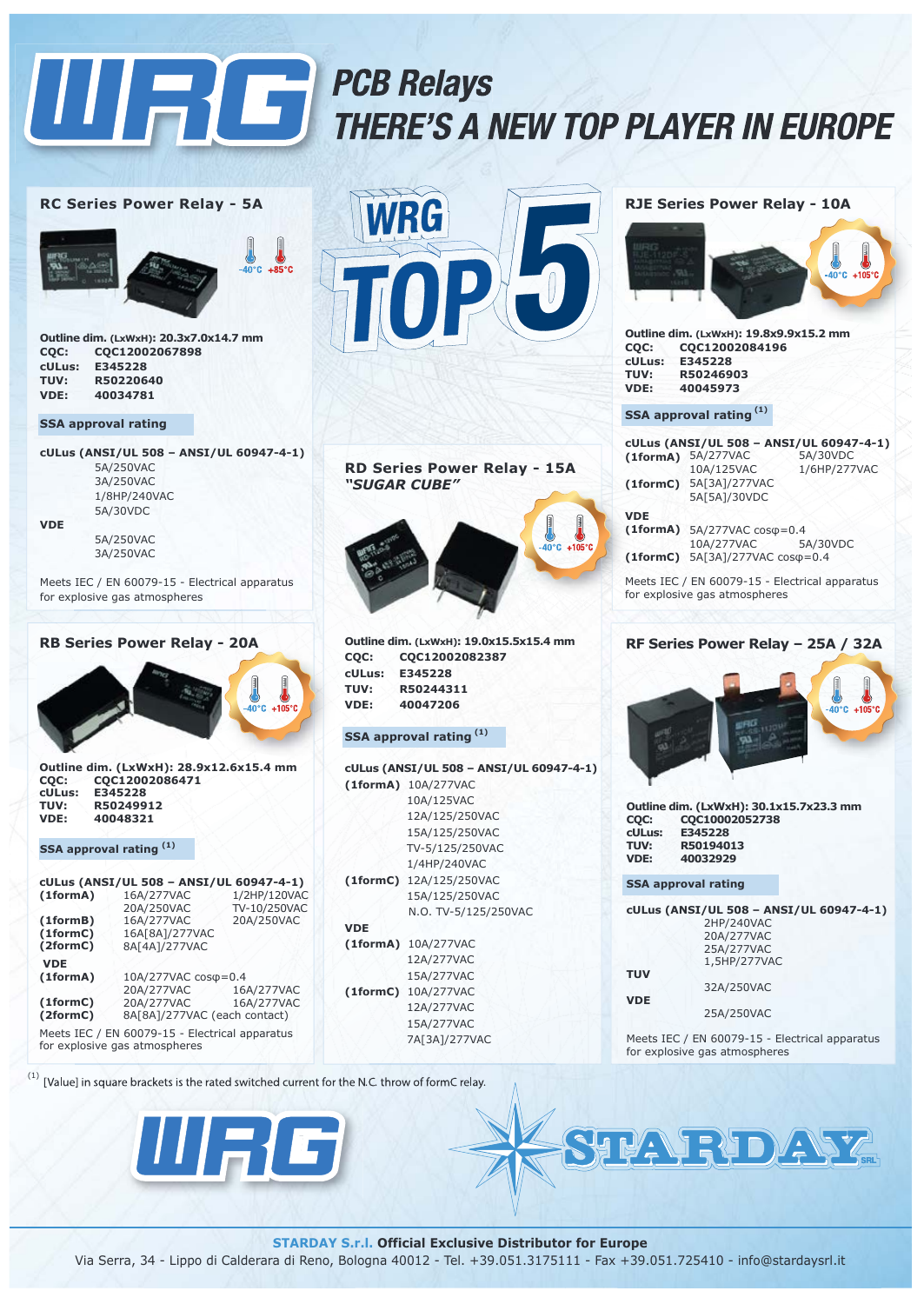

## PCB Relays THERE'S A NEW TOP PLAYER IN EUROPE P

#### **RC Series Power Relay - 5A**



**Outline dim. (LxWxH): 20.3x7.0x14.7 mm CQC: CQC12002067898 cULus: E345228 TUV: R50220640 VDE: 40034781**

#### **SSA approval rating**

**cULus (ANSI/UL 508 – ANSI/UL 60947-4-1)** 5A/250VAC 3A/250VAC 1/8HP/240VAC 5A/30VDC **VDE** 5A/250VAC

3A/250VAC

Meets IEC / EN 60079-15 - Electrical apparatus for explosive gas atmospheres

#### **RB Series Power Relay - 20A**



**Outline dim. (LxWxH): 28.9x12.6x15.4 mm CQC: CQC12002086471 cULus: E345228 TUV: R50249912 VDE: 40048321**

#### **SSA approval rating (1)**

| cULus (ANSI/UL 508 - ANSI/UL 60947-4-1)              |                                                                                                                           |  |
|------------------------------------------------------|---------------------------------------------------------------------------------------------------------------------------|--|
| 16A/277VAC                                           | 1/2HP/120VAC                                                                                                              |  |
|                                                      | TV-10/250VAC                                                                                                              |  |
|                                                      | 20A/250VAC                                                                                                                |  |
| 16A[8A]/277VAC                                       |                                                                                                                           |  |
| 8A[4A]/277VAC                                        |                                                                                                                           |  |
|                                                      |                                                                                                                           |  |
| 10A/277VAC cos $\varphi$ =0.4                        |                                                                                                                           |  |
| 20A/277VAC                                           | 16A/277VAC                                                                                                                |  |
|                                                      | 16A/277VAC                                                                                                                |  |
| (1formC)<br>(2formC)<br>8A[8A]/277VAC (each contact) |                                                                                                                           |  |
|                                                      |                                                                                                                           |  |
|                                                      | 20A/250VAC<br>16A/277VAC<br>20A/277VAC<br>Meets IEC / EN 60079-15 - Electrical apparatus<br>for explosive gas atmospheres |  |





|        | Outline dim. (LxWxH): 19.0x15.5x15.4 mm |
|--------|-----------------------------------------|
| COC:   | COC12002082387                          |
| cULus: | E345228                                 |
| TUV:   | R50244311                               |
| VDE:   | 40047206                                |
|        |                                         |

#### **SSA approval rating (1)**

|            | cULus (ANSI/UL 508 - ANSI/UL 60947-4-1) |
|------------|-----------------------------------------|
|            | (1formA) 10A/277VAC                     |
|            | 10A/125VAC                              |
|            | 12A/125/250VAC                          |
|            | 15A/125/250VAC                          |
|            | TV-5/125/250VAC                         |
|            | 1/4HP/240VAC                            |
|            | (1formC) 12A/125/250VAC                 |
|            | 15A/125/250VAC                          |
|            | N.O. TV-5/125/250VAC                    |
| <b>VDE</b> |                                         |
|            | (1formA) 10A/277VAC                     |
|            | 12A/277VAC                              |
|            | 15A/277VAC                              |
|            | (1formC) 10A/277VAC                     |
|            | 12A/277VAC                              |
|            | 15A/277VAC                              |
|            | 7A[3A]/277VAC                           |
|            |                                         |

#### **RJE Series Power Relay - 10A**



**Outline dim. (LxWxH): 19.8x9.9x15.2 mm CQC: CQC12002084196 cULus: E345228 TUV: R50246903 VDE: 40045973**

#### **SSA approval rating (1)**

|            |                                                                                                                                                                                                                                                                                                             | cULus (ANSI/UL 508 - ANSI/UL 60947-4-1) |
|------------|-------------------------------------------------------------------------------------------------------------------------------------------------------------------------------------------------------------------------------------------------------------------------------------------------------------|-----------------------------------------|
|            | $(1formA)$ $5A/277VAC$                                                                                                                                                                                                                                                                                      | 5A/30VDC                                |
|            | 10A/125VAC                                                                                                                                                                                                                                                                                                  | 1/6HP/277VAC                            |
| (1formC)   | 5A[3A]/277VAC                                                                                                                                                                                                                                                                                               |                                         |
|            | 5A[5A]/30VDC                                                                                                                                                                                                                                                                                                |                                         |
| <b>VDE</b> |                                                                                                                                                                                                                                                                                                             |                                         |
|            | $(1formA)$ 5A/277VAC $cos\phi=0.4$                                                                                                                                                                                                                                                                          |                                         |
|            | 10A/277VAC                                                                                                                                                                                                                                                                                                  | 5A/30VDC                                |
|            | $(1formC)$ 5A[3A]/277VAC cos $\varphi = 0.4$                                                                                                                                                                                                                                                                |                                         |
|            | $\mathbf{a}$ , $\mathbf{b}$ , $\mathbf{c}$ , $\mathbf{c}$ , $\mathbf{c}$ , $\mathbf{c}$ , $\mathbf{c}$ , $\mathbf{c}$ , $\mathbf{c}$ , $\mathbf{c}$ , $\mathbf{c}$ , $\mathbf{c}$ , $\mathbf{c}$ , $\mathbf{c}$ , $\mathbf{c}$ , $\mathbf{c}$ , $\mathbf{c}$ , $\mathbf{c}$ , $\mathbf{c}$ , $\mathbf{c}$ , |                                         |

Meets IEC / EN 60079-15 - Electrical apparatus for explosive gas atmospheres

#### **RF Series Power Relay – 25A / 32A**



**Outline dim. (LxWxH): 30.1x15.7x23.3 mm CQC: CQC10002052738 cULus: E345228 TUV: R50194013 VDE: 40032929**

**SSA approval rating**

**cULus (ANSI/UL 508 – ANSI/UL 60947-4-1) TUV VDE** 2HP/240VAC 20A/277VAC 25A/277VAC 1,5HP/277VAC 32A/250VAC 25A/250VAC

Meets IEC / EN 60079-15 - Electrical apparatus for explosive gas atmospheres

**RDAY** 

[Value] in square brackets is the rated switched current for the N.C. throw of formC relay.



**STARDAY S.r.l. Official Exclusive Distributor for Europe**

Via Serra, 34 - Lippo di Calderara di Reno, Bologna 40012 - Tel. +39.051.3175111 - Fax +39.051.725410 - info@stardaysrl.it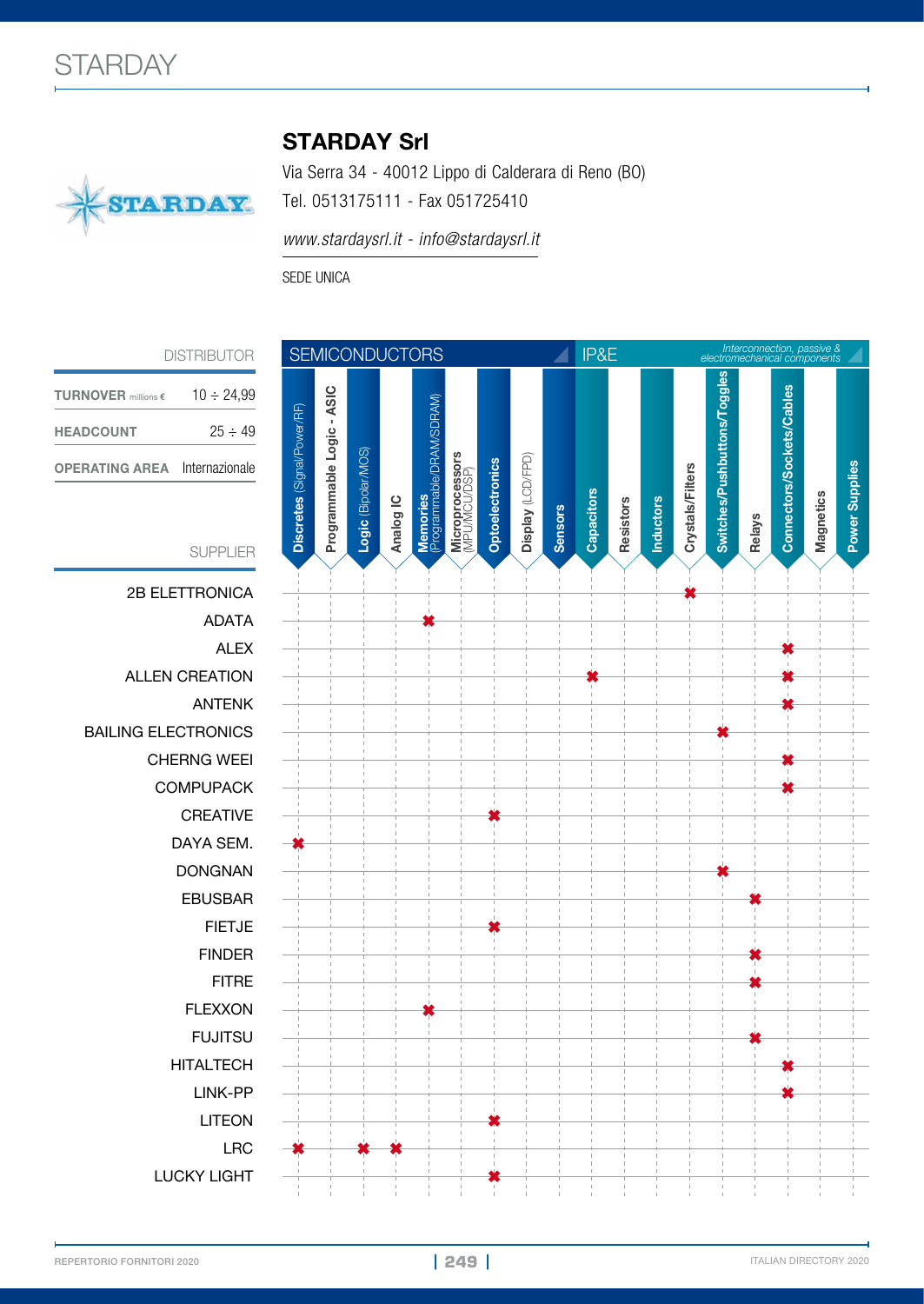

## STARDAY Srl

Via Serra 34 - 40012 Lippo di Calderara di Reno (BO) Tel. 0513175111 - Fax 051725410

*www.stardaysrl.it - info@stardaysrl.it*

SEDE UNICA

DISTRIBUTOR

| <b>TURNOVER</b> millions $\epsilon$ | $10 \div 24.99$ |
|-------------------------------------|-----------------|
| <b>HEADCOUNT</b>                    | $25 - 49$       |
| <b>OPERATING AREA</b>               | Internazionale  |



| LITEON      |  |
|-------------|--|
| I RC        |  |
| LUCKY LIGHT |  |